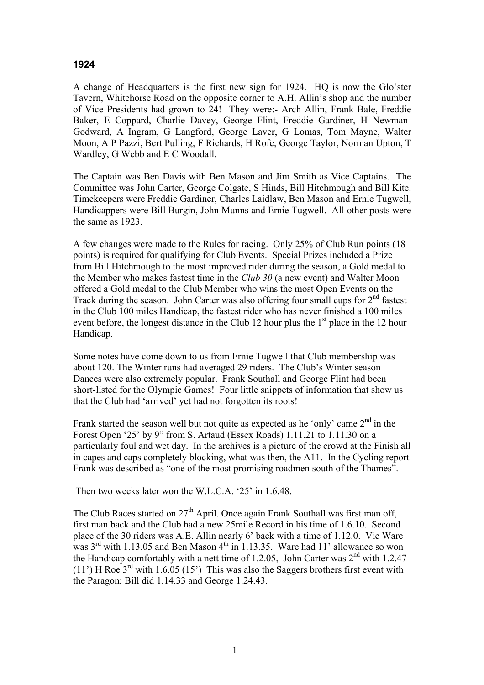## **1924**

A change of Headquarters is the first new sign for 1924. HQ is now the Glo'ster Tavern, Whitehorse Road on the opposite corner to A.H. Allin's shop and the number of Vice Presidents had grown to 24! They were:- Arch Allin, Frank Bale, Freddie Baker, E Coppard, Charlie Davey, George Flint, Freddie Gardiner, H Newman-Godward, A Ingram, G Langford, George Laver, G Lomas, Tom Mayne, Walter Moon, A P Pazzi, Bert Pulling, F Richards, H Rofe, George Taylor, Norman Upton, T Wardley, G Webb and E C Woodall.

The Captain was Ben Davis with Ben Mason and Jim Smith as Vice Captains. The Committee was John Carter, George Colgate, S Hinds, Bill Hitchmough and Bill Kite. Timekeepers were Freddie Gardiner, Charles Laidlaw, Ben Mason and Ernie Tugwell, Handicappers were Bill Burgin, John Munns and Ernie Tugwell. All other posts were the same as 1923.

A few changes were made to the Rules for racing. Only 25% of Club Run points (18 points) is required for qualifying for Club Events. Special Prizes included a Prize from Bill Hitchmough to the most improved rider during the season, a Gold medal to the Member who makes fastest time in the *Club 30* (a new event) and Walter Moon offered a Gold medal to the Club Member who wins the most Open Events on the Track during the season. John Carter was also offering four small cups for  $2<sup>nd</sup>$  fastest in the Club 100 miles Handicap, the fastest rider who has never finished a 100 miles event before, the longest distance in the Club 12 hour plus the  $1<sup>st</sup>$  place in the 12 hour Handicap.

Some notes have come down to us from Ernie Tugwell that Club membership was about 120. The Winter runs had averaged 29 riders. The Club's Winter season Dances were also extremely popular. Frank Southall and George Flint had been short-listed for the Olympic Games! Four little snippets of information that show us that the Club had 'arrived' yet had not forgotten its roots!

Frank started the season well but not quite as expected as he 'only' came 2<sup>nd</sup> in the Forest Open '25' by 9" from S. Artaud (Essex Roads) 1.11.21 to 1.11.30 on a particularly foul and wet day. In the archives is a picture of the crowd at the Finish all in capes and caps completely blocking, what was then, the A11. In the Cycling report Frank was described as "one of the most promising roadmen south of the Thames".

Then two weeks later won the W.L.C.A. '25' in 1.6.48.

The Club Races started on  $27<sup>th</sup>$  April. Once again Frank Southall was first man off, first man back and the Club had a new 25mile Record in his time of 1.6.10. Second place of the 30 riders was A.E. Allin nearly 6' back with a time of 1.12.0. Vic Ware was  $3<sup>rd</sup>$  with 1.13.05 and Ben Mason  $4<sup>th</sup>$  in 1.13.35. Ware had 11' allowance so won the Handicap comfortably with a nett time of 1.2.05, John Carter was  $2<sup>nd</sup>$  with 1.2.47 (11') H Roe  $3<sup>rd</sup>$  with 1.6.05 (15') This was also the Saggers brothers first event with the Paragon; Bill did 1.14.33 and George 1.24.43.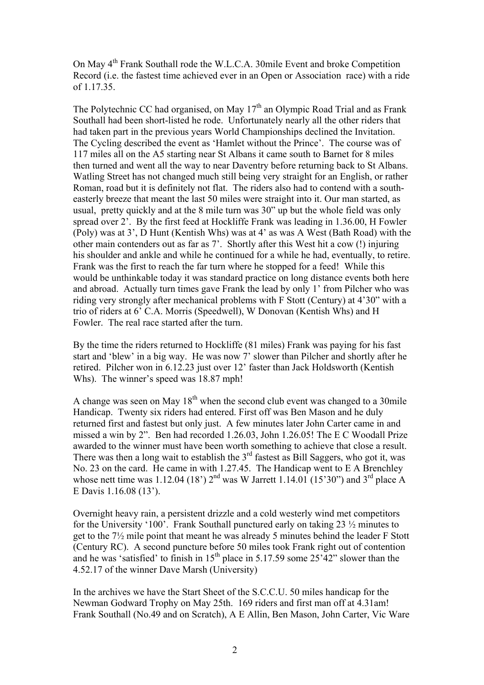On May 4th Frank Southall rode the W.L.C.A. 30mile Event and broke Competition Record (i.e. the fastest time achieved ever in an Open or Association race) with a ride of 1.17.35.

The Polytechnic CC had organised, on May  $17<sup>th</sup>$  an Olympic Road Trial and as Frank Southall had been short-listed he rode. Unfortunately nearly all the other riders that had taken part in the previous years World Championships declined the Invitation. The Cycling described the event as 'Hamlet without the Prince'. The course was of 117 miles all on the A5 starting near St Albans it came south to Barnet for 8 miles then turned and went all the way to near Daventry before returning back to St Albans. Watling Street has not changed much still being very straight for an English, or rather Roman, road but it is definitely not flat. The riders also had to contend with a southeasterly breeze that meant the last 50 miles were straight into it. Our man started, as usual, pretty quickly and at the 8 mile turn was 30" up but the whole field was only spread over 2'. By the first feed at Hockliffe Frank was leading in 1.36.00, H Fowler (Poly) was at 3', D Hunt (Kentish Whs) was at 4' as was A West (Bath Road) with the other main contenders out as far as 7'. Shortly after this West hit a cow (!) injuring his shoulder and ankle and while he continued for a while he had, eventually, to retire. Frank was the first to reach the far turn where he stopped for a feed! While this would be unthinkable today it was standard practice on long distance events both here and abroad. Actually turn times gave Frank the lead by only 1' from Pilcher who was riding very strongly after mechanical problems with F Stott (Century) at 4'30" with a trio of riders at 6' C.A. Morris (Speedwell), W Donovan (Kentish Whs) and H Fowler. The real race started after the turn.

By the time the riders returned to Hockliffe (81 miles) Frank was paying for his fast start and 'blew' in a big way. He was now 7' slower than Pilcher and shortly after he retired. Pilcher won in 6.12.23 just over 12' faster than Jack Holdsworth (Kentish Whs). The winner's speed was 18.87 mph!

A change was seen on May  $18<sup>th</sup>$  when the second club event was changed to a 30mile Handicap. Twenty six riders had entered. First off was Ben Mason and he duly returned first and fastest but only just. A few minutes later John Carter came in and missed a win by 2". Ben had recorded 1.26.03, John 1.26.05! The E C Woodall Prize awarded to the winner must have been worth something to achieve that close a result. There was then a long wait to establish the  $3<sup>rd</sup>$  fastest as Bill Saggers, who got it, was No. 23 on the card. He came in with 1.27.45. The Handicap went to E A Brenchley whose nett time was 1.12.04 (18')  $2^{nd}$  was W Jarrett 1.14.01 (15'30") and 3<sup>rd</sup> place A E Davis 1.16.08 (13').

Overnight heavy rain, a persistent drizzle and a cold westerly wind met competitors for the University '100'. Frank Southall punctured early on taking 23 ½ minutes to get to the 7½ mile point that meant he was already 5 minutes behind the leader F Stott (Century RC). A second puncture before 50 miles took Frank right out of contention and he was 'satisfied' to finish in  $15<sup>th</sup>$  place in 5.17.59 some  $25<sup>2</sup>42$ " slower than the 4.52.17 of the winner Dave Marsh (University)

In the archives we have the Start Sheet of the S.C.C.U. 50 miles handicap for the Newman Godward Trophy on May 25th. 169 riders and first man off at 4.31am! Frank Southall (No.49 and on Scratch), A E Allin, Ben Mason, John Carter, Vic Ware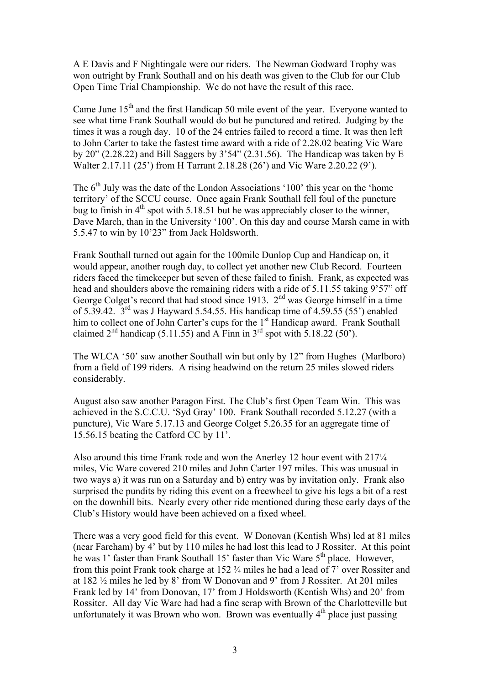A E Davis and F Nightingale were our riders. The Newman Godward Trophy was won outright by Frank Southall and on his death was given to the Club for our Club Open Time Trial Championship. We do not have the result of this race.

Came June  $15<sup>th</sup>$  and the first Handicap 50 mile event of the year. Everyone wanted to see what time Frank Southall would do but he punctured and retired. Judging by the times it was a rough day. 10 of the 24 entries failed to record a time. It was then left to John Carter to take the fastest time award with a ride of 2.28.02 beating Vic Ware by  $20$ " (2.28.22) and Bill Saggers by  $3'54''$  (2.31.56). The Handicap was taken by E Walter 2.17.11 (25') from H Tarrant 2.18.28 (26') and Vic Ware 2.20.22 (9').

The  $6<sup>th</sup>$  July was the date of the London Associations '100' this year on the 'home' territory' of the SCCU course. Once again Frank Southall fell foul of the puncture bug to finish in  $4<sup>th</sup>$  spot with 5.18.51 but he was appreciably closer to the winner, Dave March, than in the University '100'. On this day and course Marsh came in with 5.5.47 to win by 10'23" from Jack Holdsworth.

Frank Southall turned out again for the 100mile Dunlop Cup and Handicap on, it would appear, another rough day, to collect yet another new Club Record. Fourteen riders faced the timekeeper but seven of these failed to finish. Frank, as expected was head and shoulders above the remaining riders with a ride of 5.11.55 taking 9'57" off George Colget's record that had stood since 1913.  $2<sup>nd</sup>$  was George himself in a time of 5.39.42.  $3^{\text{rd}}$  was J Hayward 5.54.55. His handicap time of 4.59.55 (55') enabled him to collect one of John Carter's cups for the 1<sup>st</sup> Handicap award. Frank Southall claimed  $2<sup>nd</sup>$  handicap (5.11.55) and A Finn in  $3<sup>rd</sup>$  spot with 5.18.22 (50<sup>°</sup>).

The WLCA '50' saw another Southall win but only by 12" from Hughes (Marlboro) from a field of 199 riders. A rising headwind on the return 25 miles slowed riders considerably.

August also saw another Paragon First. The Club's first Open Team Win. This was achieved in the S.C.C.U. 'Syd Gray' 100. Frank Southall recorded 5.12.27 (with a puncture), Vic Ware 5.17.13 and George Colget 5.26.35 for an aggregate time of 15.56.15 beating the Catford CC by 11'.

Also around this time Frank rode and won the Anerley 12 hour event with 217¼ miles, Vic Ware covered 210 miles and John Carter 197 miles. This was unusual in two ways a) it was run on a Saturday and b) entry was by invitation only. Frank also surprised the pundits by riding this event on a freewheel to give his legs a bit of a rest on the downhill bits. Nearly every other ride mentioned during these early days of the Club's History would have been achieved on a fixed wheel.

There was a very good field for this event. W Donovan (Kentish Whs) led at 81 miles (near Fareham) by 4' but by 110 miles he had lost this lead to J Rossiter. At this point he was 1' faster than Frank Southall 15' faster than Vic Ware 5<sup>th</sup> place. However, from this point Frank took charge at 152 ¾ miles he had a lead of 7' over Rossiter and at 182 ½ miles he led by 8' from W Donovan and 9' from J Rossiter. At 201 miles Frank led by 14' from Donovan, 17' from J Holdsworth (Kentish Whs) and 20' from Rossiter. All day Vic Ware had had a fine scrap with Brown of the Charlotteville but unfortunately it was Brown who won. Brown was eventually  $4<sup>th</sup>$  place just passing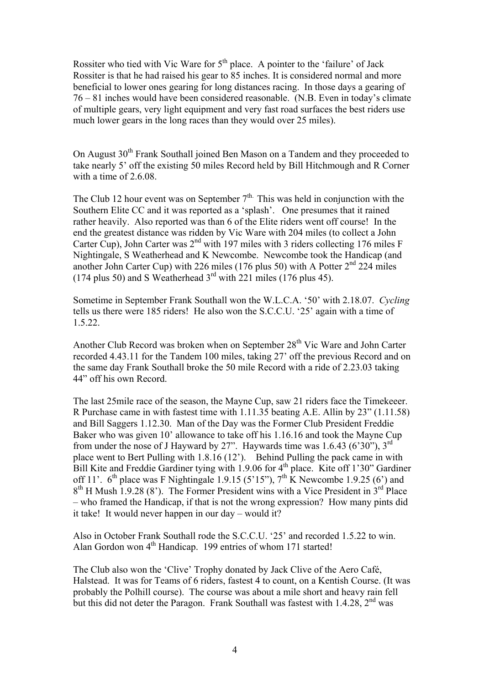Rossiter who tied with Vic Ware for  $5<sup>th</sup>$  place. A pointer to the 'failure' of Jack Rossiter is that he had raised his gear to 85 inches. It is considered normal and more beneficial to lower ones gearing for long distances racing. In those days a gearing of 76 – 81 inches would have been considered reasonable. (N.B. Even in today's climate of multiple gears, very light equipment and very fast road surfaces the best riders use much lower gears in the long races than they would over 25 miles).

On August 30<sup>th</sup> Frank Southall joined Ben Mason on a Tandem and they proceeded to take nearly 5' off the existing 50 miles Record held by Bill Hitchmough and R Corner with a time of 2.6.08.

The Club 12 hour event was on September  $7<sup>th</sup>$ . This was held in conjunction with the Southern Elite CC and it was reported as a 'splash'. One presumes that it rained rather heavily. Also reported was than 6 of the Elite riders went off course! In the end the greatest distance was ridden by Vic Ware with 204 miles (to collect a John Carter Cup), John Carter was 2<sup>nd</sup> with 197 miles with 3 riders collecting 176 miles F Nightingale, S Weatherhead and K Newcombe. Newcombe took the Handicap (and another John Carter Cup) with 226 miles (176 plus 50) with A Potter  $2<sup>nd</sup> 224$  miles (174 plus 50) and S Weatherhead  $3<sup>rd</sup>$  with 221 miles (176 plus 45).

Sometime in September Frank Southall won the W.L.C.A. '50' with 2.18.07. *Cycling* tells us there were 185 riders! He also won the S.C.C.U. '25' again with a time of 1.5.22.

Another Club Record was broken when on September  $28<sup>th</sup>$  Vic Ware and John Carter recorded 4.43.11 for the Tandem 100 miles, taking 27' off the previous Record and on the same day Frank Southall broke the 50 mile Record with a ride of 2.23.03 taking 44" off his own Record.

The last 25mile race of the season, the Mayne Cup, saw 21 riders face the Timekeeer. R Purchase came in with fastest time with 1.11.35 beating A.E. Allin by 23" (1.11.58) and Bill Saggers 1.12.30. Man of the Day was the Former Club President Freddie Baker who was given 10' allowance to take off his 1.16.16 and took the Mayne Cup from under the nose of J Hayward by 27". Haywards time was  $1.6.43$  (6'30"), 3<sup>rd</sup> place went to Bert Pulling with 1.8.16 (12'). Behind Pulling the pack came in with Bill Kite and Freddie Gardiner tying with  $1.9.06$  for  $4<sup>th</sup>$  place. Kite off 1'30" Gardiner off 11'.  $6<sup>th</sup>$  place was F Nightingale 1.9.15 (5'15"),  $7<sup>th</sup>$  K Newcombe 1.9.25 (6') and  $8<sup>th</sup>$  H Mush 1.9.28 (8'). The Former President wins with a Vice President in  $3<sup>rd</sup>$  Place – who framed the Handicap, if that is not the wrong expression? How many pints did it take! It would never happen in our day – would it?

Also in October Frank Southall rode the S.C.C.U. '25' and recorded 1.5.22 to win. Alan Gordon won  $4<sup>th</sup>$  Handicap. 199 entries of whom 171 started!

The Club also won the 'Clive' Trophy donated by Jack Clive of the Aero Café, Halstead. It was for Teams of 6 riders, fastest 4 to count, on a Kentish Course. (It was probably the Polhill course). The course was about a mile short and heavy rain fell but this did not deter the Paragon. Frank Southall was fastest with  $1.4.28$ ,  $2<sup>nd</sup>$  was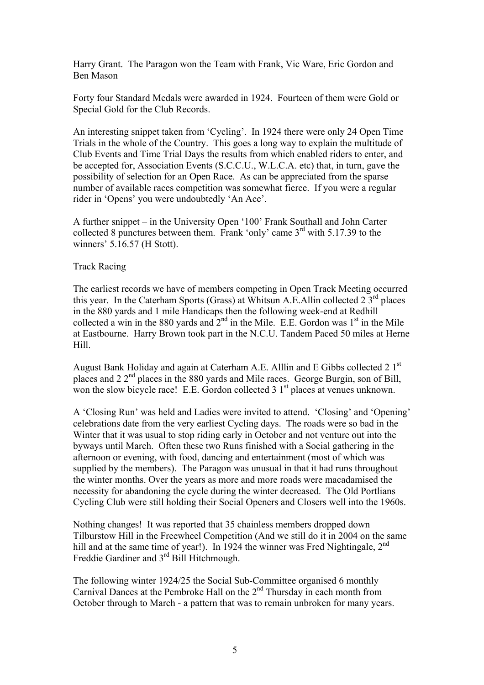Harry Grant. The Paragon won the Team with Frank, Vic Ware, Eric Gordon and Ben Mason

Forty four Standard Medals were awarded in 1924. Fourteen of them were Gold or Special Gold for the Club Records.

An interesting snippet taken from 'Cycling'. In 1924 there were only 24 Open Time Trials in the whole of the Country. This goes a long way to explain the multitude of Club Events and Time Trial Days the results from which enabled riders to enter, and be accepted for, Association Events (S.C.C.U., W.L.C.A. etc) that, in turn, gave the possibility of selection for an Open Race. As can be appreciated from the sparse number of available races competition was somewhat fierce. If you were a regular rider in 'Opens' you were undoubtedly 'An Ace'.

A further snippet – in the University Open '100' Frank Southall and John Carter collected 8 punctures between them. Frank 'only' came  $3<sup>rd</sup>$  with 5.17.39 to the winners' 5.16.57 (H Stott).

## Track Racing

The earliest records we have of members competing in Open Track Meeting occurred this year. In the Caterham Sports (Grass) at Whitsun A.E.Allin collected  $2.3<sup>rd</sup>$  places in the 880 yards and 1 mile Handicaps then the following week-end at Redhill collected a win in the 880 yards and  $2<sup>nd</sup>$  in the Mile. E.E. Gordon was 1<sup>st</sup> in the Mile at Eastbourne. Harry Brown took part in the N.C.U. Tandem Paced 50 miles at Herne Hill.

August Bank Holiday and again at Caterham A.E. Alllin and E Gibbs collected 2 1st places and  $22<sup>nd</sup>$  places in the 880 yards and Mile races. George Burgin, son of Bill, won the slow bicycle race! E.E. Gordon collected  $3 \frac{1}{18}$  places at venues unknown.

A 'Closing Run' was held and Ladies were invited to attend. 'Closing' and 'Opening' celebrations date from the very earliest Cycling days. The roads were so bad in the Winter that it was usual to stop riding early in October and not venture out into the byways until March. Often these two Runs finished with a Social gathering in the afternoon or evening, with food, dancing and entertainment (most of which was supplied by the members). The Paragon was unusual in that it had runs throughout the winter months. Over the years as more and more roads were macadamised the necessity for abandoning the cycle during the winter decreased. The Old Portlians Cycling Club were still holding their Social Openers and Closers well into the 1960s.

Nothing changes! It was reported that 35 chainless members dropped down Tilburstow Hill in the Freewheel Competition (And we still do it in 2004 on the same hill and at the same time of year!). In 1924 the winner was Fred Nightingale,  $2<sup>nd</sup>$ Freddie Gardiner and 3<sup>rd</sup> Bill Hitchmough.

The following winter 1924/25 the Social Sub-Committee organised 6 monthly Carnival Dances at the Pembroke Hall on the 2nd Thursday in each month from October through to March - a pattern that was to remain unbroken for many years.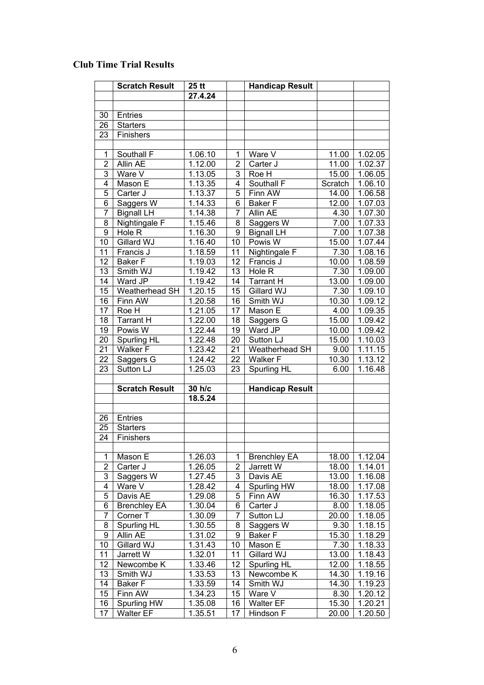## **Club Time Trial Results**

|                | <b>Scratch Result</b>           | $25$ tt            |          | <b>Handicap Result</b>       |               |                    |
|----------------|---------------------------------|--------------------|----------|------------------------------|---------------|--------------------|
|                |                                 | 27.4.24            |          |                              |               |                    |
|                |                                 |                    |          |                              |               |                    |
| 30             | Entries                         |                    |          |                              |               |                    |
| 26             | <b>Starters</b>                 |                    |          |                              |               |                    |
| 23             | Finishers                       |                    |          |                              |               |                    |
|                |                                 |                    |          |                              |               |                    |
| 1              | Southall F                      | 1.06.10            | 1        | Ware V                       | 11.00         | 1.02.05            |
| $\overline{c}$ | Allin AE                        | 1.12.00            | 2        | Carter J                     | 11.00         | 1.02.37            |
| 3              | Ware V                          | 1.13.05            | 3        | Roe H                        | 15.00         | 1.06.05            |
| 4              | Mason E                         | 1.13.35            | 4        | Southall F                   | Scratch       | 1.06.10            |
| 5              | Carter J                        | 1.13.37            | 5        | Finn AW                      | 14.00         | 1.06.58            |
| 6              | Saggers W                       | 1.14.33            | 6        | <b>Baker F</b>               | 12.00         | 1.07.03            |
| 7              | <b>Bignall LH</b>               | 1.14.38            | 7        | Allin AE                     | 4.30          | 1.07.30            |
| 8              | Nightingale F                   | 1.15.46            | 8        | Saggers W                    | 7.00          | 1.07.33            |
| 9              | Hole R<br>Gillard WJ            | 1.16.30            | 9        | <b>Bignall LH</b><br>Powis W | 7.00<br>15.00 | 1.07.38            |
| 10             |                                 | 1.16.40            | 10       |                              | 7.30          | 1.07.44            |
| 11<br>12       | Francis J<br><b>Baker F</b>     | 1.18.59<br>1.19.03 | 11<br>12 | Nightingale F<br>Francis J   | 10.00         | 1.08.16<br>1.08.59 |
| 13             | Smith WJ                        | 1.19.42            | 13       | Hole R                       | 7.30          | 1.09.00            |
| 14             | Ward JP                         | 1.19.42            | 14       | <b>Tarrant H</b>             | 13.00         | 1.09.00            |
| 15             | Weatherhead SH                  | 1.20.15            | 15       | Gillard WJ                   | 7.30          | 1.09.10            |
| 16             | Finn AW                         | 1.20.58            | 16       | Smith WJ                     | 10.30         | 1.09.12            |
| 17             | Roe H                           | 1.21.05            | 17       | Mason E                      | 4.00          | 1.09.35            |
| 18             | <b>Tarrant H</b>                | 1.22.00            | 18       | Saggers G                    | 15.00         | 1.09.42            |
| 19             | Powis W                         | 1.22.44            | 19       | Ward JP                      | 10.00         | 1.09.42            |
| 20             | Spurling HL                     | 1.22.48            | 20       | Sutton LJ                    | 15.00         | 1.10.03            |
| 21             | <b>Walker F</b>                 | 1.23.42            | 21       | Weatherhead SH               | 9.00          | 1.11.15            |
| 22             | Saggers G                       | 1.24.42            | 22       | <b>Walker F</b>              | 10.30         | 1.13.12            |
| 23             | Sutton LJ                       | 1.25.03            | 23       | Spurling HL                  | 6.00          | 1.16.48            |
|                |                                 |                    |          |                              |               |                    |
|                | <b>Scratch Result</b>           | 30 h/c             |          | <b>Handicap Result</b>       |               |                    |
|                |                                 | 18.5.24            |          |                              |               |                    |
|                |                                 |                    |          |                              |               |                    |
| 26             | <b>Entries</b>                  |                    |          |                              |               |                    |
| 25             | <b>Starters</b>                 |                    |          |                              |               |                    |
| 24             | Finishers                       |                    |          |                              |               |                    |
|                |                                 |                    |          |                              |               |                    |
| 1              | Mason E                         | 1.26.03            | 1        | <b>Brenchley EA</b>          | 18.00         | 1.12.04            |
| 2              | Carter J                        | 1.26.05            | 2        | Jarrett W                    | 18.00         | 1.14.01            |
| 3              | Saggers W                       | 1.27.45            | 3        | Davis AE                     | 13.00         | 1.16.08            |
| 4              | Ware V                          | 1.28.42            | 4        | Spurling HW                  | 18.00         | 1.17.08            |
| 5              | Davis AE                        | 1.29.08            | 5        | Finn AW                      | 16.30         | 1.17.53            |
| 6<br>7         | <b>Brenchley EA</b><br>Corner T | 1.30.04            | 6<br>7   | Carter J                     | 8.00          | 1.18.05            |
|                | Spurling HL                     | 1.30.09<br>1.30.55 |          | Sutton LJ                    | 20.00<br>9.30 | 1.18.05            |
| 8<br>9         | Allin AE                        |                    | 8<br>9   | Saggers W<br><b>Baker F</b>  | 15.30         | 1.18.15            |
| 10             | Gillard WJ                      | 1.31.02<br>1.31.43 | 10       | Mason E                      | 7.30          | 1.18.29<br>1.18.33 |
| 11             | Jarrett W                       | 1.32.01            | 11       | Gillard WJ                   | 13.00         | 1.18.43            |
| 12             | Newcombe K                      | 1.33.46            | 12       | Spurling HL                  | 12.00         | 1.18.55            |
| 13             | Smith WJ                        | 1.33.53            | 13       | Newcombe K                   | 14.30         | 1.19.16            |
| 14             | <b>Baker F</b>                  | 1.33.59            | 14       | Smith WJ                     | 14.30         | 1.19.23            |
| 15             | Finn AW                         | 1.34.23            | 15       | Ware V                       | 8.30          | 1.20.12            |
| 16             | Spurling HW                     | 1.35.08            | 16       | <b>Walter EF</b>             | 15.30         | 1.20.21            |
| 17             | <b>Walter EF</b>                | 1.35.51            | 17       | Hindson F                    | 20.00         | 1.20.50            |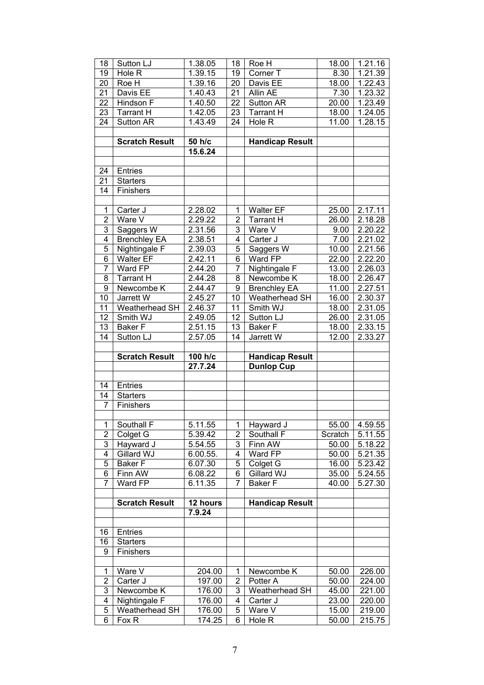| 18                      | Sutton LJ                         | 1.38.05              | 18                      | Roe H                  | 18.00   | 1.21.16              |
|-------------------------|-----------------------------------|----------------------|-------------------------|------------------------|---------|----------------------|
| 19                      | Hole R                            | 1.39.15              | 19                      | Corner T               | 8.30    | 1.21.39              |
| 20                      | Roe H                             | 1.39.16              | $\overline{20}$         | Davis EE               | 18.00   | 1.22.43              |
| 21                      | Davis EE                          | 1.40.43              | $\overline{21}$         | Allin AE               | 7.30    | 1.23.32              |
| 22                      | Hindson F                         | 1.40.50              | $\overline{22}$         | Sutton AR              | 20.00   | 1.23.49              |
| 23                      | <b>Tarrant H</b>                  | 1.42.05              | $\overline{23}$         | <b>Tarrant H</b>       | 18.00   | 1.24.05              |
| $\overline{24}$         | Sutton AR                         | 1.43.49              | 24                      | Hole R                 | 11.00   | 1.28.15              |
|                         |                                   |                      |                         |                        |         |                      |
|                         | <b>Scratch Result</b>             | 50 h/c               |                         | <b>Handicap Result</b> |         |                      |
|                         |                                   | 15.6.24              |                         |                        |         |                      |
|                         |                                   |                      |                         |                        |         |                      |
| 24                      | Entries                           |                      |                         |                        |         |                      |
| 21                      | <b>Starters</b>                   |                      |                         |                        |         |                      |
| 14                      | Finishers                         |                      |                         |                        |         |                      |
|                         |                                   |                      |                         |                        |         |                      |
| $\mathbf 1$             | Carter J                          | 2.28.02              | 1                       | <b>Walter EF</b>       | 25.00   | $2.17.\overline{11}$ |
| $\overline{2}$          | Ware V                            | 2.29.22              | $\overline{\mathbf{c}}$ | <b>Tarrant H</b>       | 26.00   | 2.18.28              |
| $\overline{3}$          | Saggers W                         | 2.31.56              | 3                       | Ware V                 | 9.00    | 2.20.22              |
| $\overline{4}$          | <b>Brenchley EA</b>               | 2.38.51              | $\overline{4}$          | Carter J               | 7.00    | 2.21.02              |
| $\overline{5}$          | Nightingale F                     | 2.39.03              | 5                       | Saggers W              | 10.00   | 2.21.56              |
| $\overline{6}$          | <b>Walter EF</b>                  | $2.\overline{42.11}$ | $\overline{6}$          | Ward FP                | 22.00   | 2.22.20              |
| $\overline{7}$          | Ward FP                           | 2.44.20              | $\overline{7}$          | Nightingale F          | 13.00   | 2.26.03              |
| $\overline{8}$          | <b>Tarrant H</b>                  | 2.44.28              | 8                       | Newcombe K             | 18.00   | 2.26.47              |
| $\overline{9}$          | Newcombe <sub>K</sub>             | 2.44.47              | $\overline{9}$          | <b>Brenchley EA</b>    | 11.00   | 2.27.51              |
| 10                      | Jarrett W                         | 2.45.27              | 10                      | Weatherhead SH         | 16.00   | 2.30.37              |
| 11                      | Weatherhead SH                    | 2.46.37              | $\overline{11}$         | Smith WJ               | 18.00   | 2.31.05              |
| 12                      | Smith WJ                          | 2.49.05              | 12                      | Sutton LJ              | 26.00   | 2.31.05              |
| 13                      | <b>Baker F</b>                    | 2.51.15              | 13                      | <b>Baker</b> F         | 18.00   | 2.33.15              |
| 14                      | Sutton LJ                         | 2.57.05              | 14                      | Jarrett W              | 12.00   | 2.33.27              |
|                         |                                   |                      |                         |                        |         |                      |
|                         |                                   |                      |                         |                        |         |                      |
|                         | <b>Scratch Result</b>             | 100 h/c              |                         | <b>Handicap Result</b> |         |                      |
|                         |                                   | 27.7.24              |                         | <b>Dunlop Cup</b>      |         |                      |
|                         |                                   |                      |                         |                        |         |                      |
| 14                      | Entries                           |                      |                         |                        |         |                      |
| 14                      | <b>Starters</b>                   |                      |                         |                        |         |                      |
| $\overline{7}$          | Finishers                         |                      |                         |                        |         |                      |
|                         |                                   |                      |                         |                        |         |                      |
| $\overline{1}$          | Southall F                        | 5.11.55              | 1                       | Hayward J              | 55.00   | 4.59.55              |
| $\overline{2}$          | Colget G                          | 5.39.42              | $\overline{\mathbf{c}}$ | Southall F             | Scratch | 5.11.55              |
| 3                       | Hayward J                         | 5.54.55              | 3                       | Finn AW                | 50.00   | 5.18.22              |
| $\overline{4}$          | Gillard WJ                        | 6.00.55.             | 4                       | Ward FP                | 50.00   | 5.21.35              |
| 5                       | <b>Baker F</b>                    | 6.07.30              | 5                       | Colget G               | 16.00   | 5.23.42              |
| 6                       | Finn AW                           | 6.08.22              | 6                       | Gillard WJ             | 35.00   | 5.24.55              |
| $\overline{7}$          | Ward FP                           | 6.11.35              | $\overline{7}$          | <b>Baker F</b>         | 40.00   | $\overline{5.27.30}$ |
|                         |                                   |                      |                         |                        |         |                      |
|                         | <b>Scratch Result</b>             | 12 hours             |                         | <b>Handicap Result</b> |         |                      |
|                         |                                   | 7.9.24               |                         |                        |         |                      |
|                         |                                   |                      |                         |                        |         |                      |
| 16<br>16                | <b>Entries</b><br><b>Starters</b> |                      |                         |                        |         |                      |
| 9                       | Finishers                         |                      |                         |                        |         |                      |
|                         |                                   |                      |                         |                        |         |                      |
| 1                       | Ware V                            | 204.00               | 1                       | Newcombe K             | 50.00   | 226.00               |
| $\overline{\mathbf{c}}$ | Carter J                          | 197.00               | 2                       | Potter A               | 50.00   | 224.00               |
| 3                       | Newcombe K                        | 176.00               | 3                       | Weatherhead SH         | 45.00   | 221.00               |
| 4                       | Nightingale F                     | 176.00               | 4                       | Carter J               | 23.00   | 220.00               |
| 5                       | Weatherhead SH                    | 176.00               | 5                       | Ware V                 | 15.00   | 219.00               |
| 6                       | Fox R                             | 174.25               | 6                       | Hole R                 | 50.00   | 215.75               |